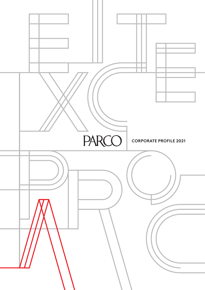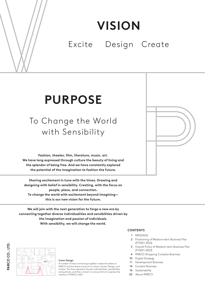# **VISION**

### Excite Design Create

# **PURPOSE**

### To Change the World with Sensibility

**Fashion, theater, film, literature, music, art. We have long expressed through culture the beauty of living and the splendor of being free. And we have constantly explored the potential of the imagination to fashion the future.**

**Sharing excitement in tune with the times. Drawing and designing with belief in sensibility. Creating, with the focus on people, place, and connection. To change the world with excitement beyond imagining this is our new vision for the future.**

**We will join with the next generation to forge a new era by connecting together diverse individualities and sensibilities driven by the imagination and passion of individuals. With sensibility, we will change the world.**

PARCO CO., LTD. **PARCO CO., LTD.**



#### Cover Design

A number of lines connecting together create the letters in PARCO and the three words of our Vision: Excite, Design, and Create. The lines represent diverse individualities, sensibilities, and partners, and they connect in various forms to express the creation of PARCO itself.

#### **CONTENTS**

- 1 MESSAGE
- 2 Positioning of Medium-term Business Plan (FY2021-2023)
- 3 Overall Policy of Medium-term Business Plan (FY2021-2023)
- 4 PARCO Shopping Complex Business
- 10 Digital Strategy
- 11 Development Business
- 14 Content Business
- 16 Sustainability
- 20 About PARCO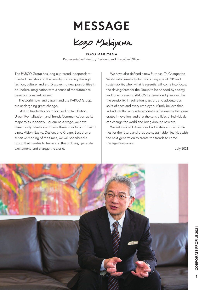## **MESSAGE**

Kozo Malayama

KOZO MAKIYAMA Representative Director, President and Executive Officer

The PARCO Group has long expressed independentminded lifestyles and the beauty of diversity through fashion, culture, and art. Discovering new possibilities in boundless imagination with a sense of the future has been our constant pursuit.

The world now, and Japan, and the PARCO Group, are undergoing great change.

PARCO has to this point focused on Incubation, Urban Revitalization, and Trends Communication as its major roles in society. For our next stage, we have dynamically refashioned these three axes to put forward a new Vision: Excite, Design, and Create. Based on a sensitive reading of the times, we will spearhead a group that creates to transcend the ordinary, generate excitement, and change the world.

We have also defined a new Purpose: To Change the World with Sensibility. In this coming age of DX\* and sustainability, when what is essential will come into focus, the driving force for the Group to be needed by society and for expressing PARCO's trademark edginess will be the sensibility, imagination, passion, and adventurous spirit of each and every employee. I firmly believe that individuals thinking independently is the energy that generates innovation, and that the sensibilities of individuals can change the world and bring about a new era.

We will connect diverse individualities and sensibilities for the future and propose sustainable lifestyles with the next generation to create the trends to come. \* DX: Digital Transformation

July 2021

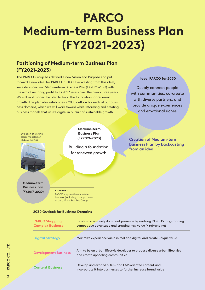# **PARCO Medium-term Business Plan (FY2021-2023)**

### **Positioning of Medium-term Business Plan (FY2021-2023)**

The PARCO Group has defined a new Vision and Purpose and put forward a new ideal for PARCO in 2030. Backcasting from this ideal, we established our Medium-term Business Plan (FY2021-2023) with the aim of restoring profit to FY2019 levels over the plan's three years. We will work under the plan to build the foundation for renewed growth. The plan also establishes a 2030 outlook for each of our business domains, which we will work toward while reforming and creating business models that utilize digital in pursuit of sustainable growth.

#### **Ideal PARCO for 2030**

Deeply connect people with communities, co-create with diverse partners, and provide unique experiences and emotional riches



#### **2030 Outlook for Business Domains**

| <b>PARCO Shopping</b><br><b>Complex Business</b> | <b>Establish a uniquely dominant presence by evolving PARCO's longstanding</b><br>competitive advantage and creating new value (= rebranding) |
|--------------------------------------------------|-----------------------------------------------------------------------------------------------------------------------------------------------|
| <b>Digital Strategy</b>                          | Maximize experience value in real and digital and create unique value                                                                         |
| <b>Development Business</b>                      | Aim to be an urban lifestyle developer to propose diverse urban lifestyles<br>and create appealing communities                                |
| <b>Content Business</b>                          | Develop and expand SDGs- and CSV-oriented content and<br>incorporate it into businesses to further increase brand value                       |